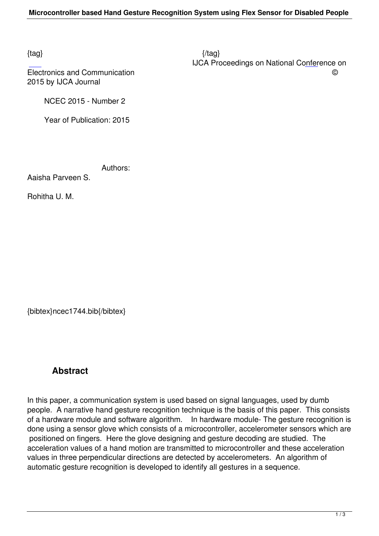2015 by IJCA Journal

NCEC 2015 - Number 2

Year of Publication: 2015

Authors:

Aaisha Parveen S.

Rohitha U. M.

{bibtex}ncec1744.bib{/bibtex}

## **Abstract**

In this paper, a communication system is used based on signal languages, used by dumb people. A narrative hand gesture recognition technique is the basis of this paper. This consists of a hardware module and software algorithm. In hardware module- The gesture recognition is done using a sensor glove which consists of a microcontroller, accelerometer sensors which are positioned on fingers. Here the glove designing and gesture decoding are studied. The acceleration values of a hand motion are transmitted to microcontroller and these acceleration values in three perpendicular directions are detected by accelerometers. An algorithm of automatic gesture recognition is developed to identify all gestures in a sequence.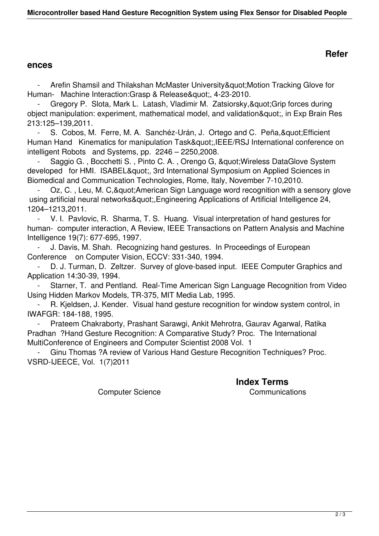## **ences**

Arefin Shamsil and Thilakshan McMaster University" Motion Tracking Glove for Human- Machine Interaction: Grasp & Release & quot;, 4-23-2010.

Gregory P. Slota, Mark L. Latash, Vladimir M. Zatsiorsky, & quot; Grip forces during object manipulation: experiment, mathematical model, and validation", in Exp Brain Res 213:125–139,2011.

S. Cobos, M. Ferre, M. A. Sanchéz-Urán, J. Ortego and C. Peña, & quot; Efficient Human Hand Kinematics for manipulation Task",IEEE/RSJ International conference on intelligent Robots and Systems, pp. 2246 – 2250,2008.

Saggio G., Bocchetti S., Pinto C. A., Orengo G, " Wireless DataGlove System developed for HMI. ISABEL", 3rd International Symposium on Applied Sciences in Biomedical and Communication Technologies, Rome, Italy, November 7-10,2010.

Oz, C., Leu, M. C, & quot; American Sign Language word recognition with a sensory glove using artificial neural networks",Engineering Applications of Artificial Intelligence 24, 1204–1213,2011.

 - V. I. Pavlovic, R. Sharma, T. S. Huang. Visual interpretation of hand gestures for human- computer interaction, A Review, IEEE Transactions on Pattern Analysis and Machine Intelligence 19(7): 677-695, 1997.

J. Davis, M. Shah. Recognizing hand gestures. In Proceedings of European Conference on Computer Vision, ECCV: 331-340, 1994.

D. J. Turman, D. Zeltzer. Survey of glove-based input. IEEE Computer Graphics and Application 14:30-39, 1994.

 - Starner, T. and Pentland. Real-Time American Sign Language Recognition from Video Using Hidden Markov Models, TR-375, MIT Media Lab, 1995.

R. Kjeldsen, J. Kender. Visual hand gesture recognition for window system control, in IWAFGR: 184-188, 1995.

 - Prateem Chakraborty, Prashant Sarawgi, Ankit Mehrotra, Gaurav Agarwal, Ratika Pradhan ?Hand Gesture Recognition: A Comparative Study? Proc. The International MultiConference of Engineers and Computer Scientist 2008 Vol. 1

 - Ginu Thomas ?A review of Various Hand Gesture Recognition Techniques? Proc. VSRD-IJEECE, Vol. 1(7)2011

**Index Terms** 

Computer Science Communications

## **Refer**